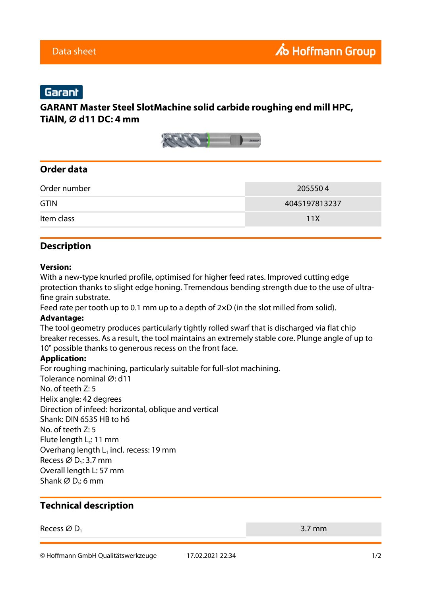# Garant

## **GARANT Master Steel SlotMachine solid carbide roughing end mill HPC, TiAlN, ⌀ d11 DC: 4 mm**



## **Order data**

| Order number | 2055504       |
|--------------|---------------|
| <b>GTIN</b>  | 4045197813237 |
| Item class   | 11X           |

### **Description**

### **Version:**

With a new-type knurled profile, optimised for higher feed rates. Improved cutting edge protection thanks to slight edge honing. Tremendous bending strength due to the use of ultrafine grain substrate.

Feed rate per tooth up to 0.1 mm up to a depth of  $2\times$ D (in the slot milled from solid).

#### **Advantage:**

The tool geometry produces particularly tightly rolled swarf that is discharged via flat chip breaker recesses. As a result, the tool maintains an extremely stable core. Plunge angle of up to 10° possible thanks to generous recess on the front face.

#### **Application:**

For roughing machining, particularly suitable for full-slot machining. Tolerance nominal Ø: d11 No. of teeth Z: 5 Helix angle: 42 degrees Direction of infeed: horizontal, oblique and vertical Shank: DIN 6535 HB to h6 No. of teeth Z: 5 Flute length  $L_c$ : 11 mm Overhang length  $L_1$  incl. recess: 19 mm Recess  $\varnothing$  D<sub>1</sub>: 3.7 mm Overall length L: 57 mm Shank Ø D<sub>s</sub>: 6 mm

### **Technical description**

Recess  $\varnothing$  D<sub>1</sub> 3.7 mm

© Hoffmann GmbH Qualitätswerkzeuge 17.02.2021 22:34 1/2